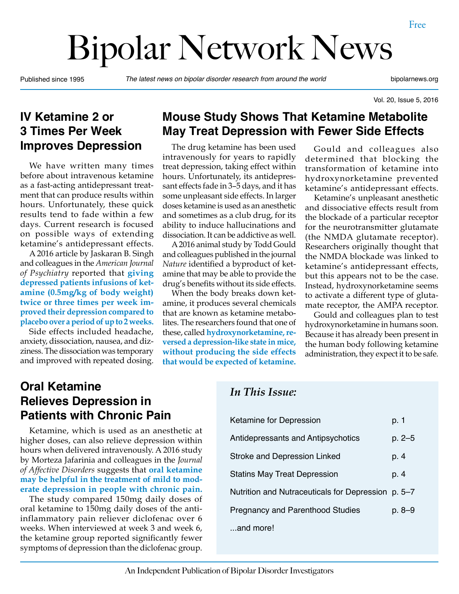# Bipolar Network News

Published since 1995 *The latest news on bipolar disorder research from around the world* bipolarnews.org

Vol. 20, Issue 5, 2016

#### **IV Ketamine 2 or 3 Times Per Week Improves Depression**

We have written many times before about intravenous ketamine as a fast-acting antidepressant treatment that can produce results within hours. Unfortunately, these quick results tend to fade within a few days. Current research is focused on possible ways of extending ketamine's antidepressant effects.

A 2016 article by Jaskaran B. Singh and colleagues in the *American Journal of Psychiatry* reported that **giving depressed patients infusions of ketamine (0.5mg/kg of body weight) twice or three times per week improved their depression compared to placebo over a period of up to 2 weeks.**

Side effects included headache, anxiety, dissociation, nausea, and dizziness. The dissociation was temporary and improved with repeated dosing.

## **Mouse Study Shows That Ketamine Metabolite May Treat Depression with Fewer Side Effects**

The drug ketamine has been used intravenously for years to rapidly treat depression, taking effect within hours. Unfortunately, its antidepressant effects fade in 3–5 days, and it has some unpleasant side effects. In larger doses ketamine is used as an anesthetic and sometimes as a club drug, for its ability to induce hallucinations and dissociation. It can be addictive as well.

A 2016 animal study by Todd Gould and colleagues published in the journal *Nature* identified a byproduct of ketamine that may be able to provide the drug's benefits without its side effects.

When the body breaks down ketamine, it produces several chemicals that are known as ketamine metabolites. The researchers found that one of these, called **hydroxynorketamine, reversed a depression-like state in mice, without producing the side effects that would be expected of ketamine.**

Gould and colleagues also determined that blocking the transformation of ketamine into hydroxynorketamine prevented ketamine's antidepressant effects.

Ketamine's unpleasant anesthetic and dissociative effects result from the blockade of a particular receptor for the neurotransmitter glutamate (the NMDA glutamate receptor). Researchers originally thought that the NMDA blockade was linked to ketamine's antidepressant effects, but this appears not to be the case. Instead, hydroxynorketamine seems to activate a different type of glutamate receptor, the AMPA receptor.

Gould and colleagues plan to test hydroxynorketamine in humans soon. Because it has already been present in the human body following ketamine administration, they expect it to be safe.

## **Oral Ketamine Relieves Depression in Patients with Chronic Pain**

Ketamine, which is used as an anesthetic at higher doses, can also relieve depression within hours when delivered intravenously. A 2016 study by Morteza Jafarinia and colleagues in the *Journal of Affective Disorders* suggests that **oral ketamine may be helpful in the treatment of mild to moderate depression in people with chronic pain.**

The study compared 150mg daily doses of oral ketamine to 150mg daily doses of the antiinflammatory pain reliever diclofenac over 6 weeks. When interviewed at week 3 and week 6, the ketamine group reported significantly fewer symptoms of depression than the diclofenac group.

#### *In This Issue:*

| Ketamine for Depression                            | p. 1   |
|----------------------------------------------------|--------|
| Antidepressants and Antipsychotics                 | p. 2–5 |
| <b>Stroke and Depression Linked</b>                | p. 4   |
| <b>Statins May Treat Depression</b>                | p. 4   |
| Nutrition and Nutraceuticals for Depression p. 5-7 |        |
| <b>Pregnancy and Parenthood Studies</b>            | p. 8–9 |
| and more!                                          |        |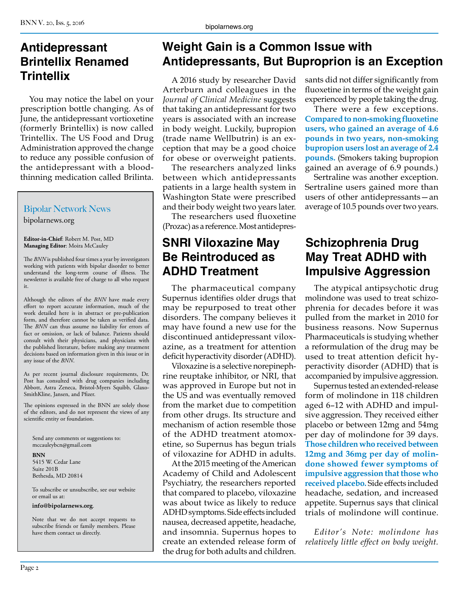## **Antidepressant Brintellix Renamed Trintellix**

You may notice the label on your prescription bottle changing. As of June, the antidepressant vortioxetine (formerly Brintellix) is now called Trintellix. The US Food and Drug Administration approved the change to reduce any possible confusion of the antidepressant with a bloodthinning medication called Brilinta.

#### Bipolar Network News

bipolarnews.org

**Editor-in-Chief**: Robert M. Post, MD **Managing Editor**: Moira McCauley

The *BNN* is published four times a year by investigators working with patients with bipolar disorder to better understand the long-term course of illness. The newsletter is available free of charge to all who request it.

Although the editors of the *BNN* have made every effort to report accurate information, much of the work detailed here is in abstract or pre-publication form, and therefore cannot be taken as verified data. The *BNN* can thus assume no liability for errors of fact or omission, or lack of balance. Patients should consult with their physicians, and physicians with the published literature, before making any treatment decisions based on information given in this issue or in any issue of the *BNN*.

As per recent journal disclosure requirements, Dr. Post has consulted with drug companies including Abbott, Astra Zeneca, Bristol-Myers Squibb, Glaxo-SmithKline, Jansen, and Pfizer.

The opinions expressed in the BNN are solely those of the editors, and do not represent the views of any scientific entity or foundation.

Send any comments or suggestions to: mccauleybcn@gmail.com

**BNN**

5415 W. Cedar Lane Suite 201B Bethesda, MD 20814

To subscribe or unsubscribe, see our website or email us at:

#### **info@bipolarnews.org**.

Note that we do not accept requests to subscribe friends or family members. Please have them contact us directly.

## **Weight Gain is a Common Issue with Antidepressants, But Buproprion is an Exception**

A 2016 study by researcher David Arterburn and colleagues in the *Journal of Clinical Medicine* suggests that taking an antidepressant for two years is associated with an increase in body weight. Luckily, bupropion (trade name Wellbutrin) is an exception that may be a good choice for obese or overweight patients.

The researchers analyzed links between which antidepressants patients in a large health system in Washington State were prescribed and their body weight two years later.

The researchers used fluoxetine (Prozac) as a reference. Most antidepres-

#### **SNRI Viloxazine May Be Reintroduced as ADHD Treatment**

The pharmaceutical company Supernus identifies older drugs that may be repurposed to treat other disorders. The company believes it may have found a new use for the discontinued antidepressant viloxazine, as a treatment for attention deficit hyperactivity disorder (ADHD).

Viloxazine is a selective norepinephrine reuptake inhibitor, or NRI, that was approved in Europe but not in the US and was eventually removed from the market due to competition from other drugs. Its structure and mechanism of action resemble those of the ADHD treatment atomoxetine, so Supernus has begun trials of viloxazine for ADHD in adults.

At the 2015 meeting of the American Academy of Child and Adolescent Psychiatry, the researchers reported that compared to placebo, viloxazine was about twice as likely to reduce ADHD symptoms. Side effects included nausea, decreased appetite, headache, and insomnia. Supernus hopes to create an extended release form of the drug for both adults and children.

sants did not differ significantly from fluoxetine in terms of the weight gain experienced by people taking the drug.

There were a few exceptions. **Compared to non-smoking fluoxetine users, who gained an average of 4.6 pounds in two years, non-smoking bupropion users lost an average of 2.4 pounds.** (Smokers taking bupropion gained an average of 6.9 pounds.)

Sertraline was another exception. Sertraline users gained more than users of other antidepressants—an average of 10.5 pounds over two years.

# **Schizophrenia Drug May Treat ADHD with Impulsive Aggression**

The atypical antipsychotic drug molindone was used to treat schizophrenia for decades before it was pulled from the market in 2010 for business reasons. Now Supernus Pharmaceuticals is studying whether a reformulation of the drug may be used to treat attention deficit hyperactivity disorder (ADHD) that is accompanied by impulsive aggression.

Supernus tested an extended-release form of molindone in 118 children aged 6–12 with ADHD and impulsive aggression. They received either placebo or between 12mg and 54mg per day of molindone for 39 days. **Those children who received between 12mg and 36mg per day of molindone showed fewer symptoms of impulsive aggression that those who received placebo.** Side effects included headache, sedation, and increased appetite. Supernus says that clinical trials of molindone will continue.

*Editor's Note: molindone has relatively little effect on body weight.*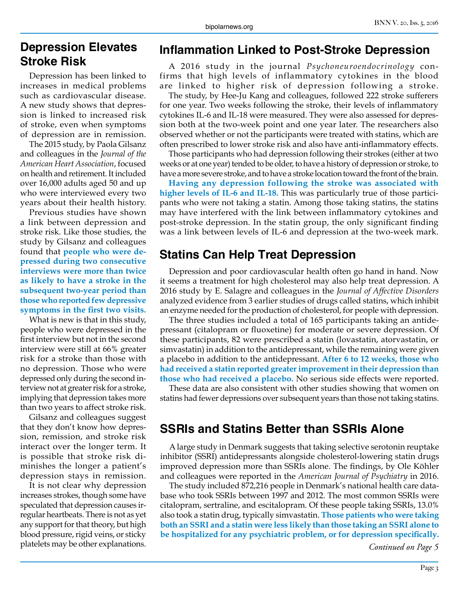#### **Depression Elevates Stroke Risk**

Depression has been linked to increases in medical problems such as cardiovascular disease. A new study shows that depression is linked to increased risk of stroke, even when symptoms of depression are in remission.

The 2015 study, by Paola Gilsanz and colleagues in the *Journal of the American Heart Association*, focused on health and retirement. It included over 16,000 adults aged 50 and up who were interviewed every two years about their health history.

Previous studies have shown a link between depression and stroke risk. Like those studies, the study by Gilsanz and colleagues found that **people who were depressed during two consecutive interviews were more than twice as likely to have a stroke in the subsequent two-year period than those who reported few depressive symptoms in the first two visits.**

What is new is that in this study, people who were depressed in the first interview but not in the second interview were still at 66% greater risk for a stroke than those with no depression. Those who were depressed only during the second interview not at greater risk for a stroke, implying that depression takes more than two years to affect stroke risk.

Gilsanz and colleagues suggest that they don't know how depression, remission, and stroke risk interact over the longer term. It is possible that stroke risk diminishes the longer a patient's depression stays in remission.

It is not clear why depression increases strokes, though some have speculated that depression causes irregular heartbeats. There is not as yet any support for that theory, but high blood pressure, rigid veins, or sticky platelets may be other explanations.

#### **Inflammation Linked to Post-Stroke Depression**

A 2016 study in the journal *Psychoneuroendocrinology* confirms that high levels of inflammatory cytokines in the blood are linked to higher risk of depression following a stroke.

The study, by Hee-Ju Kang and colleagues, followed 222 stroke sufferers for one year. Two weeks following the stroke, their levels of inflammatory cytokines IL-6 and IL-18 were measured. They were also assessed for depression both at the two-week point and one year later. The researchers also observed whether or not the participants were treated with statins, which are often prescribed to lower stroke risk and also have anti-inflammatory effects.

Those participants who had depression following their strokes (either at two weeks or at one year) tended to be older, to have a history of depression or stroke, to have a more severe stroke, and to have a stroke location toward the front of the brain.

**Having any depression following the stroke was associated with higher levels of IL-6 and IL-18.** This was particularly true of those participants who were not taking a statin. Among those taking statins, the statins may have interfered with the link between inflammatory cytokines and post-stroke depression. In the statin group, the only significant finding was a link between levels of IL-6 and depression at the two-week mark.

#### **Statins Can Help Treat Depression**

Depression and poor cardiovascular health often go hand in hand. Now it seems a treatment for high cholesterol may also help treat depression. A 2016 study by E. Salagre and colleagues in the *Journal of Affective Disorders* analyzed evidence from 3 earlier studies of drugs called statins, which inhibit an enzyme needed for the production of cholesterol, for people with depression.

The three studies included a total of 165 participants taking an antidepressant (citalopram or fluoxetine) for moderate or severe depression. Of these participants, 82 were prescribed a statin (lovastatin, atorvastatin, or simvastatin) in addition to the antidepressant, while the remaining were given a placebo in addition to the antidepressant. **After 6 to 12 weeks, those who had received a statin reported greater improvement in their depression than those who had received a placebo.** No serious side effects were reported.

These data are also consistent with other studies showing that women on statins had fewer depressions over subsequent years than those not taking statins.

#### **SSRIs and Statins Better than SSRIs Alone**

A large study in Denmark suggests that taking selective serotonin reuptake inhibitor (SSRI) antidepressants alongside cholesterol-lowering statin drugs improved depression more than SSRIs alone. The findings, by Ole Köhler and colleagues were reported in the *American Journal of Psychiatry* in 2016.

The study included 872,216 people in Denmark's national health care database who took SSRIs between 1997 and 2012. The most common SSRIs were citalopram, sertraline, and escitalopram. Of these people taking SSRIs, 13.0% also took a statin drug, typically simvastatin. **Those patients who were taking both an SSRI and a statin were less likely than those taking an SSRI alone to be hospitalized for any psychiatric problem, or for depression specifically.**

*Continued on Page 5*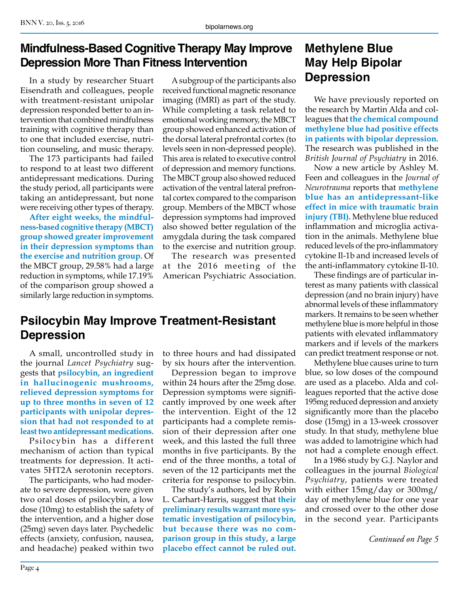# **Mindfulness-Based Cognitive Therapy May Improve Depression More Than Fitness Intervention**

In a study by researcher Stuart Eisendrath and colleagues, people with treatment-resistant unipolar depression responded better to an intervention that combined mindfulness training with cognitive therapy than to one that included exercise, nutrition counseling, and music therapy.

The 173 participants had failed to respond to at least two different antidepressant medications. During the study period, all participants were taking an antidepressant, but none were receiving other types of therapy.

**After eight weeks, the mindfulness-based cognitive therapy (MBCT) group showed greater improvement in their depression symptoms than the exercise and nutrition group.** Of the MBCT group, 29.58% had a large reduction in symptoms, while 17.19% of the comparison group showed a similarly large reduction in symptoms.

A subgroup of the participants also received functional magnetic resonance imaging (fMRI) as part of the study. While completing a task related to emotional working memory, the MBCT group showed enhanced activation of the dorsal lateral prefrontal cortex (to levels seen in non-depressed people). This area is related to executive control of depression and memory functions. The MBCT group also showed reduced activation of the ventral lateral prefrontal cortex compared to the comparison group. Members of the MBCT whose depression symptoms had improved also showed better regulation of the amygdala during the task compared to the exercise and nutrition group.

The research was presented at the 2016 meeting of the American Psychiatric Association.

## **Psilocybin May Improve Treatment-Resistant Depression**

A small, uncontrolled study in the journal *Lancet Psychiatry* suggests that **psilocybin, an ingredient in hallucinogenic mushrooms, relieved depression symptoms for up to three months in seven of 12 participants with unipolar depression that had not responded to at least two antidepressant medications.**

Psilocybin has a different mechanism of action than typical treatments for depression. It activates 5HT2A serotonin receptors.

The participants, who had moderate to severe depression, were given two oral doses of psilocybin, a low dose (10mg) to establish the safety of the intervention, and a higher dose (25mg) seven days later. Psychedelic effects (anxiety, confusion, nausea, and headache) peaked within two to three hours and had dissipated by six hours after the intervention.

Depression began to improve within 24 hours after the 25mg dose. Depression symptoms were significantly improved by one week after the intervention. Eight of the 12 participants had a complete remission of their depression after one week, and this lasted the full three months in five participants. By the end of the three months, a total of seven of the 12 participants met the criteria for response to psilocybin.

The study's authors, led by Robin L. Carhart-Harris, suggest that **their preliminary results warrant more systematic investigation of psilocybin, but because there was no comparison group in this study, a large placebo effect cannot be ruled out.**

## **Methylene Blue May Help Bipolar Depression**

We have previously reported on the research by Martin Alda and colleagues that **the chemical compound methylene blue had positive effects in patients with bipolar depression.**  The research was published in the *British Journal of Psychiatry* in 2016.

Now a new article by Ashley M. Feen and colleagues in the *Journal of Neurotrauma* reports that **methylene blue has an antidepressant-like effect in mice with traumatic brain injury (TBI).** Methylene blue reduced inflammation and microglia activation in the animals. Methylene blue reduced levels of the pro-inflammatory cytokine Il-1b and increased levels of the anti-inflammatory cytokine Il-10.

These findings are of particular interest as many patients with classical depression (and no brain injury) have abnormal levels of these inflammatory markers. It remains to be seen whether methylene blue is more helpful in those patients with elevated inflammatory markers and if levels of the markers can predict treatment response or not.

Methylene blue causes urine to turn blue, so low doses of the compound are used as a placebo. Alda and colleagues reported that the active dose 195mg reduced depression and anxiety significantly more than the placebo dose (15mg) in a 13-week crossover study. In that study, methylene blue was added to lamotrigine which had not had a complete enough effect.

In a 1986 study by G.J. Naylor and colleagues in the journal *Biological Psychiatry*, patients were treated with either 15mg/day or 300mg/ day of methylene blue for one year and crossed over to the other dose in the second year. Participants

*Continued on Page 5*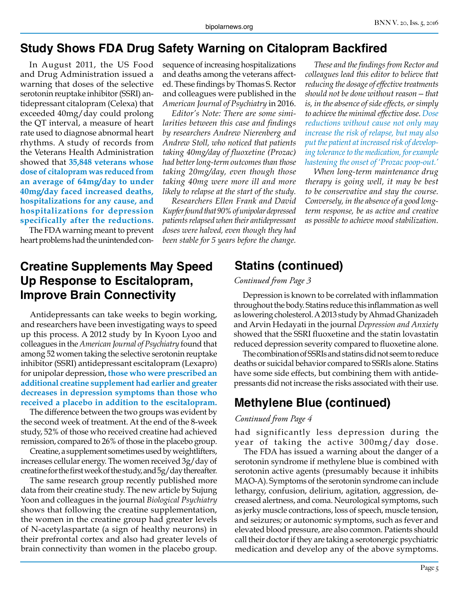#### **Study Shows FDA Drug Safety Warning on Citalopram Backfired**

In August 2011, the US Food and Drug Administration issued a warning that doses of the selective serotonin reuptake inhibitor (SSRI) antidepressant citalopram (Celexa) that exceeded 40mg/day could prolong the QT interval, a measure of heart rate used to diagnose abnormal heart rhythms. A study of records from the Veterans Health Administration showed that **35,848 veterans whose dose of citalopram was reduced from an average of 64mg/day to under 40mg/day faced increased deaths, hospitalizations for any cause, and hospitalizations for depression specifically after the reductions.**

The FDA warning meant to prevent heart problems had the unintended consequence of increasing hospitalizations and deaths among the veterans affected. These findings by Thomas S. Rector and colleagues were published in the *American Journal of Psychiatry* in 2016.

*Editor's Note: There are some similarities between this case and findings by researchers Andrew Nierenberg and Andrew Stoll, who noticed that patients taking 40mg/day of fluoxetine (Prozac) had better long-term outcomes than those taking 20mg/day, even though those taking 40mg were more ill and more likely to relapse at the start of the study.*

*Researchers Ellen Frank and David Kupfer found that 90% of unipolar depressed patients relapsed when their antidepressant doses were halved, even though they had been stable for 5 years before the change.*

*These and the findings from Rector and colleagues lead this editor to believe that reducing the dosage of effective treatments should not be done without reason—that is, in the absence of side effects, or simply to achieve the minimal effective dose. Dose reductions without cause not only may increase the risk of relapse, but may also put the patient at increased risk of developing tolerance to the medication, for example hastening the onset of 'Prozac poop-out.'*

*When long-term maintenance drug therapy is going well, it may be best to be conservative and stay the course. Conversely, in the absence of a good longterm response, be as active and creative as possible to achieve mood stabilization.*

## **Creatine Supplements May Speed Up Response to Escitalopram, Improve Brain Connectivity**

Antidepressants can take weeks to begin working, and researchers have been investigating ways to speed up this process. A 2012 study by In Kyoon Lyoo and colleagues in the *American Journal of Psychiatry* found that among 52 women taking the selective serotonin reuptake inhibitor (SSRI) antidepressant escitalopram (Lexapro) for unipolar depression, **those who were prescribed an additional creatine supplement had earlier and greater decreases in depression symptoms than those who received a placebo in addition to the escitalopram.**

The difference between the two groups was evident by the second week of treatment. At the end of the 8-week study, 52% of those who received creatine had achieved remission, compared to 26% of those in the placebo group.

Creatine, a supplement sometimes used by weightlifters, increases cellular energy. The women received 3g/day of creatine for the first week of the study, and 5g/day thereafter.

The same research group recently published more data from their creatine study. The new article by Sujung Yoon and colleagues in the journal *Biological Psychiatry* shows that following the creatine supplementation, the women in the creatine group had greater levels of N-acetylaspartate (a sign of healthy neurons) in their prefrontal cortex and also had greater levels of brain connectivity than women in the placebo group.

#### **Statins (continued)**

#### *Continued from Page 3*

Depression is known to be correlated with inflammation throughout the body. Statins reduce this inflammation as well as lowering cholesterol. A 2013 study by Ahmad Ghanizadeh and Arvin Hedayati in the journal *Depression and Anxiety* showed that the SSRI fluoxetine and the statin lovastatin reduced depression severity compared to fluoxetine alone.

The combination of SSRIs and statins did not seem to reduce deaths or suicidal behavior compared to SSRIs alone. Statins have some side effects, but combining them with antidepressants did not increase the risks associated with their use.

#### **Methylene Blue (continued)**

#### *Continued from Page 4*

had significantly less depression during the year of taking the active 300mg/day dose.

The FDA has issued a warning about the danger of a serotonin syndrome if methylene blue is combined with serotonin active agents (presumably because it inhibits MAO-A). Symptoms of the serotonin syndrome can include lethargy, confusion, delirium, agitation, aggression, decreased alertness, and coma. Neurological symptoms, such as jerky muscle contractions, loss of speech, muscle tension, and seizures; or autonomic symptoms, such as fever and elevated blood pressure, are also common. Patients should call their doctor if they are taking a serotonergic psychiatric medication and develop any of the above symptoms.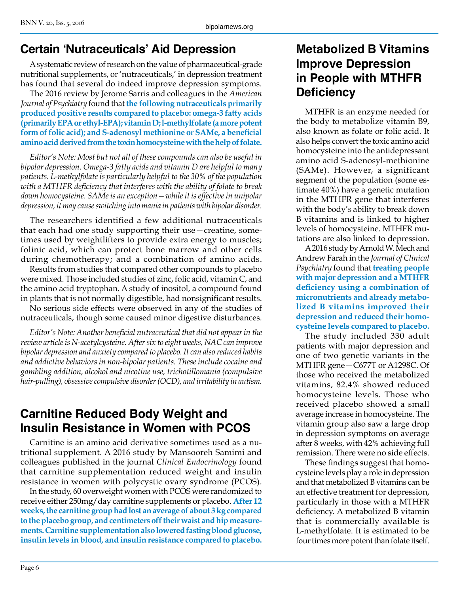# **Certain 'Nutraceuticals' Aid Depression**

A systematic review of research on the value of pharmaceutical-grade nutritional supplements, or 'nutraceuticals,' in depression treatment has found that several do indeed improve depression symptoms.

The 2016 review by Jerome Sarris and colleagues in the *American Journal of Psychiatry* found that **the following nutraceuticals primarily produced positive results compared to placebo: omega-3 fatty acids (primarily EPA or ethyl-EPA); vitamin D; l-methylfolate (a more potent form of folic acid); and S-adenosyl methionine or SAMe, a beneficial amino acid derived from the toxin homocysteine with the help of folate.**

*Editor's Note: Most but not all of these compounds can also be useful in bipolar depression. Omega-3 fatty acids and vitamin D are helpful to many patients. L-methylfolate is particularly helpful to the 30% of the population with a MTHFR deficiency that interferes with the ability of folate to break down homocysteine. SAMe is an exception—while it is effective in unipolar depression, it may cause switching into mania in patients with bipolar disorder.*

The researchers identified a few additional nutraceuticals that each had one study supporting their use—creatine, sometimes used by weightlifters to provide extra energy to muscles; folinic acid, which can protect bone marrow and other cells during chemotherapy; and a combination of amino acids.

Results from studies that compared other compounds to placebo were mixed. Those included studies of zinc, folic acid, vitamin C, and the amino acid tryptophan. A study of inositol, a compound found in plants that is not normally digestible, had nonsignificant results.

No serious side effects were observed in any of the studies of nutraceuticals, though some caused minor digestive disturbances.

*Editor's Note: Another beneficial nutraceutical that did not appear in the review article is N-acetylcysteine. After six to eight weeks, NAC can improve bipolar depression and anxiety compared to placebo. It can also reduced habits and addictive behaviors in non-bipolar patients. These include cocaine and gambling addition, alcohol and nicotine use, trichotillomania (compulsive hair-pulling), obsessive compulsive disorder (OCD), and irritability in autism.*

# **Carnitine Reduced Body Weight and Insulin Resistance in Women with PCOS**

Carnitine is an amino acid derivative sometimes used as a nutritional supplement. A 2016 study by Mansooreh Samimi and colleagues published in the journal *Clinical Endocrinology* found that carnitine supplementation reduced weight and insulin resistance in women with polycystic ovary syndrome (PCOS).

In the study, 60 overweight women with PCOS were randomized to receive either 250mg/day carnitine supplements or placebo. **After 12 weeks, the carnitine group had lost an average of about 3 kg compared to the placebo group, and centimeters off their waist and hip measurements. Carnitine supplementation also lowered fasting blood glucose, insulin levels in blood, and insulin resistance compared to placebo.**

## **Metabolized B Vitamins Improve Depression in People with MTHFR Deficiency**

MTHFR is an enzyme needed for the body to metabolize vitamin B9, also known as folate or folic acid. It also helps convert the toxic amino acid homocysteine into the antidepressant amino acid S-adenosyl-methionine (SAMe). However, a significant segment of the population (some estimate 40%) have a genetic mutation in the MTHFR gene that interferes with the body's ability to break down B vitamins and is linked to higher levels of homocysteine. MTHFR mutations are also linked to depression.

A 2016 study by Arnold W. Mech and Andrew Farah in the *Journal of Clinical Psychiatry* found that **treating people with major depression and a MTHFR deficiency using a combination of micronutrients and already metabolized B vitamins improved their depression and reduced their homocysteine levels compared to placebo.**

The study included 330 adult patients with major depression and one of two genetic variants in the MTHFR gene—C677T or A1298C. Of those who received the metabolized vitamins, 82.4% showed reduced homocysteine levels. Those who received placebo showed a small average increase in homocysteine. The vitamin group also saw a large drop in depression symptoms on average after 8 weeks, with 42% achieving full remission. There were no side effects.

These findings suggest that homocysteine levels play a role in depression and that metabolized B vitamins can be an effective treatment for depression, particularly in those with a MTHFR deficiency. A metabolized B vitamin that is commercially available is L-methylfolate. It is estimated to be four times more potent than folate itself.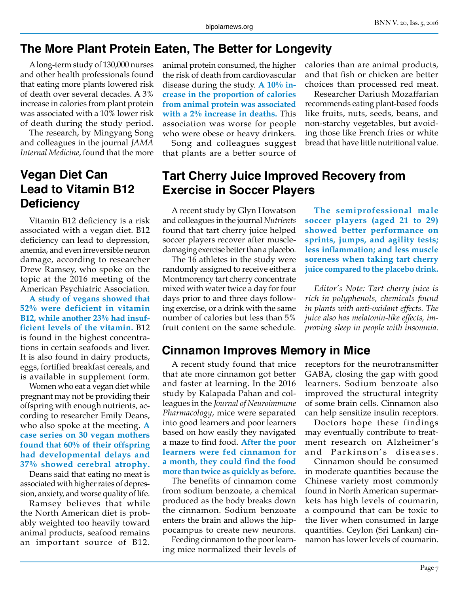#### **The More Plant Protein Eaten, The Better for Longevity**

A long-term study of 130,000 nurses and other health professionals found that eating more plants lowered risk of death over several decades. A 3% increase in calories from plant protein was associated with a 10% lower risk of death during the study period.

The research, by Mingyang Song and colleagues in the journal *JAMA Internal Medicine*, found that the more

# **Vegan Diet Can Lead to Vitamin B12 Deficiency**

Vitamin B12 deficiency is a risk associated with a vegan diet. B12 deficiency can lead to depression, anemia, and even irreversible neuron damage, according to researcher Drew Ramsey, who spoke on the topic at the 2016 meeting of the American Psychiatric Association.

**A study of vegans showed that 52% were deficient in vitamin B12, while another 23% had insufficient levels of the vitamin.** B12 is found in the highest concentrations in certain seafoods and liver. It is also found in dairy products, eggs, fortified breakfast cereals, and is available in supplement form.

Women who eat a vegan diet while pregnant may not be providing their offspring with enough nutrients, according to researcher Emily Deans, who also spoke at the meeting. **A case series on 30 vegan mothers found that 60% of their offspring had developmental delays and 37% showed cerebral atrophy.**

Deans said that eating no meat is associated with higher rates of depression, anxiety, and worse quality of life.

Ramsey believes that while the North American diet is probably weighted too heavily toward animal products, seafood remains an important source of B12.

animal protein consumed, the higher the risk of death from cardiovascular disease during the study. **A 10% increase in the proportion of calories from animal protein was associated with a 2% increase in deaths.** This association was worse for people who were obese or heavy drinkers.

Song and colleagues suggest that plants are a better source of

## **Tart Cherry Juice Improved Recovery from Exercise in Soccer Players**

A recent study by Glyn Howatson and colleagues in the journal *Nutrients* found that tart cherry juice helped soccer players recover after muscledamaging exercise better than a placebo.

The 16 athletes in the study were randomly assigned to receive either a Montmorency tart cherry concentrate mixed with water twice a day for four days prior to and three days following exercise, or a drink with the same number of calories but less than 5% fruit content on the same schedule.

#### **Cinnamon Improves Memory in Mice**

A recent study found that mice that ate more cinnamon got better and faster at learning. In the 2016 study by Kalapada Pahan and colleagues in the *Journal of Neuroimmune Pharmacology*, mice were separated into good learners and poor learners based on how easily they navigated a maze to find food. **After the poor learners were fed cinnamon for a month, they could find the food more than twice as quickly as before.**

The benefits of cinnamon come from sodium benzoate, a chemical produced as the body breaks down the cinnamon. Sodium benzoate enters the brain and allows the hippocampus to create new neurons.

Feeding cinnamon to the poor learning mice normalized their levels of calories than are animal products, and that fish or chicken are better choices than processed red meat.

Researcher Dariush Mozaffarian recommends eating plant-based foods like fruits, nuts, seeds, beans, and non-starchy vegetables, but avoiding those like French fries or white bread that have little nutritional value.

**less inflammation; and less muscle soreness when taking tart cherry juice compared to the placebo drink.** *Editor's Note: Tart cherry juice is rich in polyphenols, chemicals found* 

**The semiprofessional male soccer players (aged 21 to 29) showed better performance on sprints, jumps, and agility tests;** 

*in plants with anti-oxidant effects. The juice also has melatonin-like effects, improving sleep in people with insomnia.*

receptors for the neurotransmitter GABA, closing the gap with good learners. Sodium benzoate also improved the structural integrity of some brain cells. Cinnamon also can help sensitize insulin receptors.

Doctors hope these findings may eventually contribute to treatment research on Alzheimer 's and Parkinson's diseases.

Cinnamon should be consumed in moderate quantities because the Chinese variety most commonly found in North American supermarkets has high levels of coumarin, a compound that can be toxic to the liver when consumed in large quantities. Ceylon (Sri Lankan) cinnamon has lower levels of coumarin.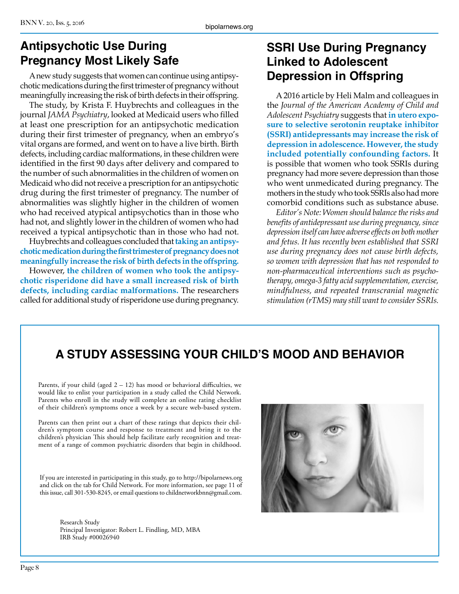# **Antipsychotic Use During Pregnancy Most Likely Safe**

A new study suggests that women can continue using antipsychotic medications during the first trimester of pregnancy without meaningfully increasing the risk of birth defects in their offspring.

The study, by Krista F. Huybrechts and colleagues in the journal *JAMA Psychiatry*, looked at Medicaid users who filled at least one prescription for an antipsychotic medication during their first trimester of pregnancy, when an embryo's vital organs are formed, and went on to have a live birth. Birth defects, including cardiac malformations, in these children were identified in the first 90 days after delivery and compared to the number of such abnormalities in the children of women on Medicaid who did not receive a prescription for an antipsychotic drug during the first trimester of pregnancy. The number of abnormalities was slightly higher in the children of women who had received atypical antipsychotics than in those who had not, and slightly lower in the children of women who had received a typical antipsychotic than in those who had not.

Huybrechts and colleagues concluded that **taking an antipsychotic medication during the first trimester of pregnancy does not meaningfully increase the risk of birth defects in the offspring.**

However, **the children of women who took the antipsychotic risperidone did have a small increased risk of birth defects, including cardiac malformations.** The researchers called for additional study of risperidone use during pregnancy.

## **SSRI Use During Pregnancy Linked to Adolescent Depression in Offspring**

A 2016 article by Heli Malm and colleagues in the *Journal of the American Academy of Child and Adolescent Psychiatry* suggests that **in utero exposure to selective serotonin reuptake inhibitor (SSRI) antidepressants may increase the risk of depression in adolescence. However, the study included potentially confounding factors.** It is possible that women who took SSRIs during pregnancy had more severe depression than those who went unmedicated during pregnancy. The mothers in the study who took SSRIs also had more comorbid conditions such as substance abuse.

*Editor's Note: Women should balance the risks and benefits of antidepressant use during pregnancy, since depression itself can have adverse effects on both mother and fetus. It has recently been established that SSRI use during pregnancy does not cause birth defects, so women with depression that has not responded to non-pharmaceutical interventions such as psychotherapy, omega-3 fatty acid supplementation, exercise, mindfulness, and repeated transcranial magnetic stimulation (rTMS) may still want to consider SSRIs.*

# **A STUDY ASSESSING YOUR CHILD'S MOOD AND BEHAVIOR**

Parents, if your child (aged  $2 - 12$ ) has mood or behavioral difficulties, we would like to enlist your participation in a study called the Child Network. Parents who enroll in the study will complete an online rating checklist of their children's symptoms once a week by a secure web-based system.

Parents can then print out a chart of these ratings that depicts their children's symptom course and response to treatment and bring it to the children's physician This should help facilitate early recognition and treatment of a range of common psychiatric disorders that begin in childhood.

If you are interested in participating in this study, go to http://bipolarnews.org and click on the tab for Child Network. For more information, see page 11 of this issue, call 301-530-8245, or email questions to childnetworkbnn@gmail.com.

Research Study Principal Investigator: Robert L. Findling, MD, MBA IRB Study #00026940

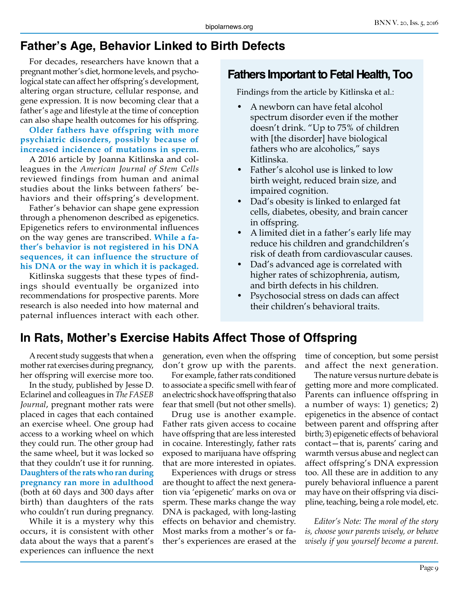# **Father's Age, Behavior Linked to Birth Defects**

For decades, researchers have known that a pregnant mother's diet, hormone levels, and psychological state can affect her offspring's development, altering organ structure, cellular response, and gene expression. It is now becoming clear that a father's age and lifestyle at the time of conception can also shape health outcomes for his offspring.

**Older fathers have offspring with more psychiatric disorders, possibly because of increased incidence of mutations in sperm.**

A 2016 article by Joanna Kitlinska and colleagues in the *American Journal of Stem Cells* reviewed findings from human and animal studies about the links between fathers' behaviors and their offspring's development.

Father's behavior can shape gene expression through a phenomenon described as epigenetics. Epigenetics refers to environmental influences on the way genes are transcribed. **While a father's behavior is not registered in his DNA sequences, it can influence the structure of his DNA or the way in which it is packaged.** 

Kitlinska suggests that these types of findings should eventually be organized into recommendations for prospective parents. More research is also needed into how maternal and paternal influences interact with each other.

#### **Fathers Important to Fetal Health, Too**

Findings from the article by Kitlinska et al.:

- A newborn can have fetal alcohol spectrum disorder even if the mother doesn't drink. "Up to 75% of children with [the disorder] have biological fathers who are alcoholics," says Kitlinska.
- Father's alcohol use is linked to low birth weight, reduced brain size, and impaired cognition.
- Dad's obesity is linked to enlarged fat cells, diabetes, obesity, and brain cancer in offspring.
- A limited diet in a father's early life may reduce his children and grandchildren's risk of death from cardiovascular causes.
- Dad's advanced age is correlated with higher rates of schizophrenia, autism, and birth defects in his children.
- Psychosocial stress on dads can affect their children's behavioral traits.

#### **In Rats, Mother's Exercise Habits Affect Those of Offspring**

A recent study suggests that when a mother rat exercises during pregnancy, her offspring will exercise more too.

In the study, published by Jesse D. Eclarinel and colleagues in *The FASEB Journal*, pregnant mother rats were placed in cages that each contained an exercise wheel. One group had access to a working wheel on which they could run. The other group had the same wheel, but it was locked so that they couldn't use it for running. **Daughters of the rats who ran during pregnancy ran more in adulthood**  (both at 60 days and 300 days after birth) than daughters of the rats who couldn't run during pregnancy.

While it is a mystery why this occurs, it is consistent with other data about the ways that a parent's experiences can influence the next generation, even when the offspring don't grow up with the parents.

For example, father rats conditioned to associate a specific smell with fear of an electric shock have offspring that also fear that smell (but not other smells).

Drug use is another example. Father rats given access to cocaine have offspring that are less interested in cocaine. Interestingly, father rats exposed to marijuana have offspring that are more interested in opiates.

Experiences with drugs or stress are thought to affect the next generation via 'epigenetic' marks on ova or sperm. These marks change the way DNA is packaged, with long-lasting effects on behavior and chemistry. Most marks from a mother's or father's experiences are erased at the time of conception, but some persist and affect the next generation.

The nature versus nurture debate is getting more and more complicated. Parents can influence offspring in a number of ways: 1) genetics; 2) epigenetics in the absence of contact between parent and offspring after birth; 3) epigenetic effects of behavioral contact—that is, parents' caring and warmth versus abuse and neglect can affect offspring's DNA expression too. All these are in addition to any purely behavioral influence a parent may have on their offspring via discipline, teaching, being a role model, etc.

*Editor's Note: The moral of the story is, choose your parents wisely, or behave wisely if you yourself become a parent.*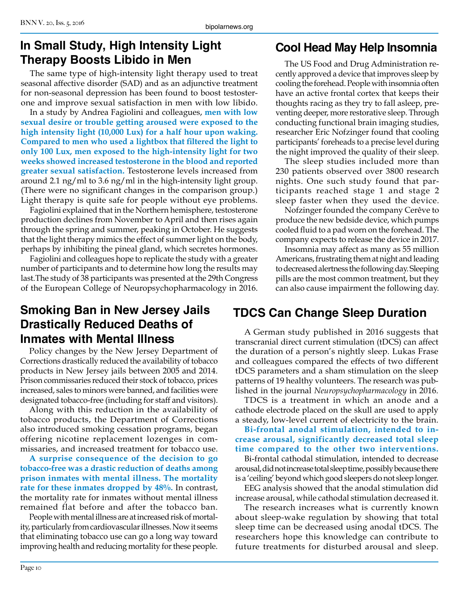## **In Small Study, High Intensity Light Therapy Boosts Libido in Men**

The same type of high-intensity light therapy used to treat seasonal affective disorder (SAD) and as an adjunctive treatment for non-seasonal depression has been found to boost testosterone and improve sexual satisfaction in men with low libido.

In a study by Andrea Fagiolini and colleagues, **men with low sexual desire or trouble getting aroused were exposed to the high intensity light (10,000 Lux) for a half hour upon waking. Compared to men who used a lightbox that filtered the light to only 100 Lux, men exposed to the high-intensity light for two weeks showed increased testosterone in the blood and reported greater sexual satisfaction.** Testosterone levels increased from around 2.1 ng/ml to 3.6 ng/ml in the high-intensity light group. (There were no significant changes in the comparison group.) Light therapy is quite safe for people without eye problems.

Fagiolini explained that in the Northern hemisphere, testosterone production declines from November to April and then rises again through the spring and summer, peaking in October. He suggests that the light therapy mimics the effect of summer light on the body, perhaps by inhibiting the pineal gland, which secretes hormones.

Fagiolini and colleagues hope to replicate the study with a greater number of participants and to determine how long the results may last.The study of 38 participants was presented at the 29th Congress of the European College of Neuropsychopharmacology in 2016.

#### **Smoking Ban in New Jersey Jails Drastically Reduced Deaths of Inmates with Mental Illness**

Policy changes by the New Jersey Department of Corrections drastically reduced the availability of tobacco products in New Jersey jails between 2005 and 2014. Prison commissaries reduced their stock of tobacco, prices increased, sales to minors were banned, and facilities were designated tobacco-free (including for staff and visitors).

Along with this reduction in the availability of tobacco products, the Department of Corrections also introduced smoking cessation programs, began offering nicotine replacement lozenges in commissaries, and increased treatment for tobacco use.

**A surprise consequence of the decision to go tobacco-free was a drastic reduction of deaths among prison inmates with mental illness. The mortality rate for these inmates dropped by 48%.** In contrast, the mortality rate for inmates without mental illness remained flat before and after the tobacco ban.

People with mental illness are at increased risk of mortality, particularly from cardiovascular illnesses. Now it seems that eliminating tobacco use can go a long way toward improving health and reducing mortality for these people.

# **Cool Head May Help Insomnia**

The US Food and Drug Administration recently approved a device that improves sleep by cooling the forehead. People with insomnia often have an active frontal cortex that keeps their thoughts racing as they try to fall asleep, preventing deeper, more restorative sleep. Through conducting functional brain imaging studies, researcher Eric Nofzinger found that cooling participants' foreheads to a precise level during the night improved the quality of their sleep.

The sleep studies included more than 230 patients observed over 3800 research nights. One such study found that participants reached stage 1 and stage 2 sleep faster when they used the device.

Nofzinger founded the company Cerêve to produce the new bedside device, which pumps cooled fluid to a pad worn on the forehead. The company expects to release the device in 2017.

Insomnia may affect as many as 55 million Americans, frustrating them at night and leading to decreased alertness the following day. Sleeping pills are the most common treatment, but they can also cause impairment the following day.

# **TDCS Can Change Sleep Duration**

A German study published in 2016 suggests that transcranial direct current stimulation (tDCS) can affect the duration of a person's nightly sleep. Lukas Frase and colleagues compared the effects of two different tDCS parameters and a sham stimulation on the sleep patterns of 19 healthy volunteers. The research was published in the journal *Neuropsychopharmacology* in 2016.

TDCS is a treatment in which an anode and a cathode electrode placed on the skull are used to apply a steady, low-level current of electricity to the brain.

**Bi-frontal anodal stimulation, intended to increase arousal, significantly decreased total sleep time compared to the other two interventions.**

Bi-frontal cathodal stimulation, intended to decrease arousal, did not increase total sleep time, possibly because there is a 'ceiling' beyond which good sleepers do not sleep longer.

EEG analysis showed that the anodal stimulation did increase arousal, while cathodal stimulation decreased it.

The research increases what is currently known about sleep-wake regulation by showing that total sleep time can be decreased using anodal tDCS. The researchers hope this knowledge can contribute to future treatments for disturbed arousal and sleep.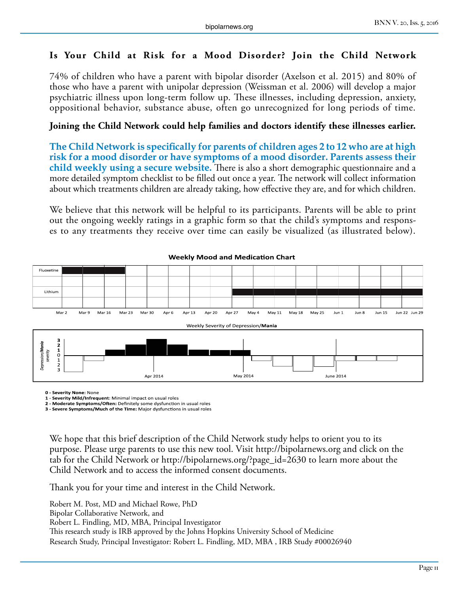#### **Is Your Child at Risk for a Mood Disorder? Join the Child Network**

74% of children who have a parent with bipolar disorder (Axelson et al. 2015) and 80% of those who have a parent with unipolar depression (Weissman et al. 2006) will develop a major psychiatric illness upon long-term follow up. These illnesses, including depression, anxiety, oppositional behavior, substance abuse, often go unrecognized for long periods of time.

#### **Joining the Child Network could help families and doctors identify these illnesses earlier.**

**The Child Network is specifically for parents of children ages 2 to 12 who are at high risk for a mood disorder or have symptoms of a mood disorder. Parents assess their child weekly using a secure website.** There is also a short demographic questionnaire and a more detailed symptom checklist to be filled out once a year. The network will collect information about which treatments children are already taking, how effective they are, and for which children.

We believe that this network will be helpful to its participants. Parents will be able to print out the ongoing weekly ratings in a graphic form so that the child's symptoms and responses to any treatments they receive over time can easily be visualized (as illustrated below).



#### **Weekly Mood and Medication Chart**

**0 - Severity None:** None

**1 - Severity Mild/Infrequent**: Minimal impact on usual roles **2 - Moderate Symptoms/Often:** Definitely some dysfunction in usual roles

**3 - Severe Symptoms/Much of the Time:** Major dysfunctions in usual roles

We hope that this brief description of the Child Network study helps to orient you to its purpose. Please urge parents to use this new tool. Visit http://bipolarnews.org and click on the tab for the Child Network or http://bipolarnews.org/?page\_id=2630 to learn more about the Child Network and to access the informed consent documents.

Thank you for your time and interest in the Child Network.

Robert M. Post, MD and Michael Rowe, PhD Bipolar Collaborative Network, and Robert L. Findling, MD, MBA, Principal Investigator This research study is IRB approved by the Johns Hopkins University School of Medicine Research Study, Principal Investigator: Robert L. Findling, MD, MBA , IRB Study #00026940